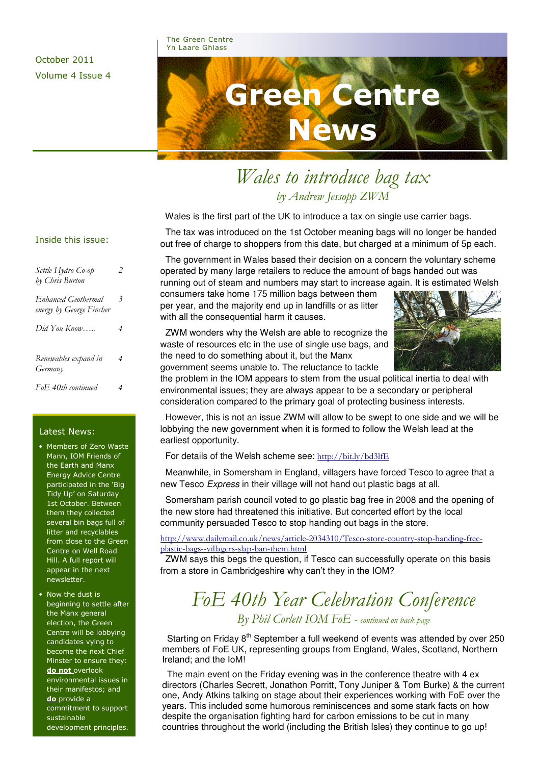### The Green Centre Yn Laare Ghlass

October 2011 Volume 4 Issue 4

# Green Centre News

# Wales to introduce bag tax by Andrew Jessopp ZWM

Wales is the first part of the UK to introduce a tax on single use carrier bags.

 The tax was introduced on the 1st October meaning bags will no longer be handed out free of charge to shoppers from this date, but charged at a minimum of 5p each.

 The government in Wales based their decision on a concern the voluntary scheme operated by many large retailers to reduce the amount of bags handed out was running out of steam and numbers may start to increase again. It is estimated Welsh

consumers take home 175 million bags between them per year, and the majority end up in landfills or as litter with all the consequential harm it causes.

 ZWM wonders why the Welsh are able to recognize the waste of resources etc in the use of single use bags, and the need to do something about it, but the Manx government seems unable to. The reluctance to tackle



the problem in the IOM appears to stem from the usual political inertia to deal with environmental issues; they are always appear to be a secondary or peripheral consideration compared to the primary goal of protecting business interests.

 However, this is not an issue ZWM will allow to be swept to one side and we will be lobbying the new government when it is formed to follow the Welsh lead at the earliest opportunity.

For details of the Welsh scheme see: http://bit.ly/bd3lfE

 Meanwhile, in Somersham in England, villagers have forced Tesco to agree that a new Tesco *Express* in their village will not hand out plastic bags at all.

 Somersham parish council voted to go plastic bag free in 2008 and the opening of the new store had threatened this initiative. But concerted effort by the local community persuaded Tesco to stop handing out bags in the store.

http://www.dailymail.co.uk/news/article-2034310/Tesco-store-country-stop-handing-freeplastic-bags--villagers-slap-ban-them.html

 ZWM says this begs the question, if Tesco can successfully operate on this basis from a store in Cambridgeshire why can't they in the IOM?

### FoE 40th Year Celebration Conference By Phil Corlett IOM FoE - continued on back page

Starting on Friday  $8<sup>th</sup>$  September a full weekend of events was attended by over 250 members of FoE UK, representing groups from England, Wales, Scotland, Northern Ireland; and the IoM!

 The main event on the Friday evening was in the conference theatre with 4 ex directors (Charles Secrett, Jonathon Porritt, Tony Juniper & Tom Burke) & the current one, Andy Atkins talking on stage about their experiences working with FoE over the years. This included some humorous reminiscences and some stark facts on how despite the organisation fighting hard for carbon emissions to be cut in many countries throughout the world (including the British Isles) they continue to go up!

### Inside this issue:

| Settle Hydro Co-op<br>by Chris Burton                  |   |  |
|--------------------------------------------------------|---|--|
| <b>Enhanced Geothermal</b><br>energy by George Fincher | 3 |  |
| Did You Know                                           | 4 |  |
| Renewables expand in<br>Germany                        | 4 |  |
| FoE 40th continued                                     | 4 |  |

### Latest News:

• Members of Zero Waste Mann, IOM Friends of the Earth and Manx Energy Advice Centre participated in the 'Big Tidy Up' on Saturday 1st October. Between them they collected several bin bags full of litter and recyclables from close to the Green Centre on Well Road Hill. A full report will appear in the next newsletter.

• Now the dust is beginning to settle after the Manx general election, the Green Centre will be lobbying candidates vying to become the next Chief Minster to ensure they: do not overlook environmental issues in their manifestos; and do provide a commitment to support sustainable development principles.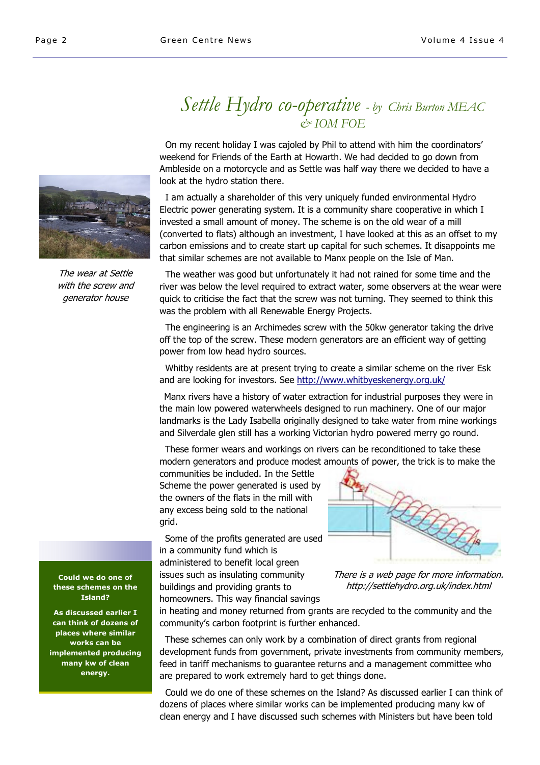### Settle Hydro co-operative - by Chris Burton MEAC & IOM FOE

 On my recent holiday I was cajoled by Phil to attend with him the coordinators' weekend for Friends of the Earth at Howarth. We had decided to go down from Ambleside on a motorcycle and as Settle was half way there we decided to have a look at the hydro station there.

 I am actually a shareholder of this very uniquely funded environmental Hydro Electric power generating system. It is a community share cooperative in which I invested a small amount of money. The scheme is on the old wear of a mill (converted to flats) although an investment, I have looked at this as an offset to my carbon emissions and to create start up capital for such schemes. It disappoints me that similar schemes are not available to Manx people on the Isle of Man.

 The weather was good but unfortunately it had not rained for some time and the river was below the level required to extract water, some observers at the wear were quick to criticise the fact that the screw was not turning. They seemed to think this was the problem with all Renewable Energy Projects.

 The engineering is an Archimedes screw with the 50kw generator taking the drive off the top of the screw. These modern generators are an efficient way of getting power from low head hydro sources.

 Whitby residents are at present trying to create a similar scheme on the river Esk and are looking for investors. See http://www.whitbyeskenergy.org.uk/

 Manx rivers have a history of water extraction for industrial purposes they were in the main low powered waterwheels designed to run machinery. One of our major landmarks is the Lady Isabella originally designed to take water from mine workings and Silverdale glen still has a working Victorian hydro powered merry go round.

 These former wears and workings on rivers can be reconditioned to take these modern generators and produce modest amounts of power, the trick is to make the

communities be included. In the Settle Scheme the power generated is used by the owners of the flats in the mill with any excess being sold to the national grid.

 Some of the profits generated are used in a community fund which is administered to benefit local green issues such as insulating community buildings and providing grants to homeowners. This way financial savings



There is a web page for more information. http://settlehydro.org.uk/index.html

in heating and money returned from grants are recycled to the community and the community's carbon footprint is further enhanced.

 These schemes can only work by a combination of direct grants from regional development funds from government, private investments from community members, feed in tariff mechanisms to guarantee returns and a management committee who are prepared to work extremely hard to get things done.

 Could we do one of these schemes on the Island? As discussed earlier I can think of dozens of places where similar works can be implemented producing many kw of clean energy and I have discussed such schemes with Ministers but have been told



The wear at Settle with the screw and generator house

Could we do one of these schemes on the Island?

As discussed earlier I can think of dozens of places where similar works can be implemented producing many kw of clean energy.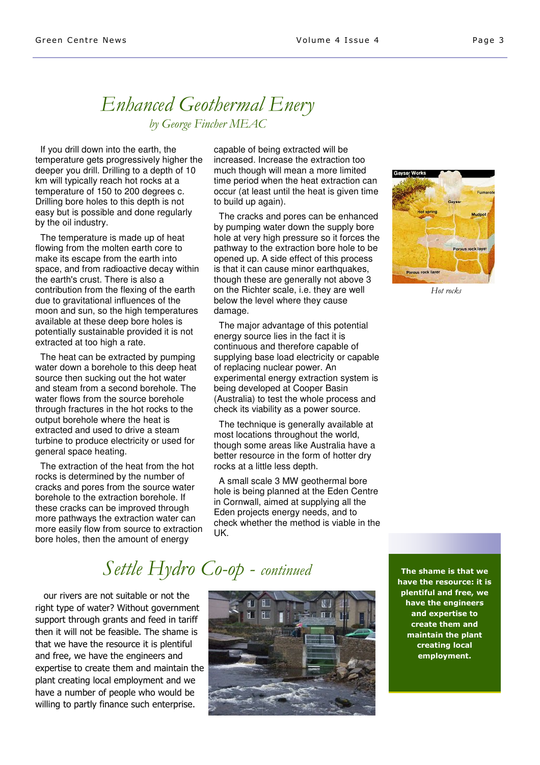### Enhanced Geothermal Enery by George Fincher MEAC

 If you drill down into the earth, the temperature gets progressively higher the deeper you drill. Drilling to a depth of 10 km will typically reach hot rocks at a temperature of 150 to 200 degrees c. Drilling bore holes to this depth is not easy but is possible and done regularly by the oil industry.

 The temperature is made up of heat flowing from the molten earth core to make its escape from the earth into space, and from radioactive decay within the earth's crust. There is also a contribution from the flexing of the earth due to gravitational influences of the moon and sun, so the high temperatures available at these deep bore holes is potentially sustainable provided it is not extracted at too high a rate.

 The heat can be extracted by pumping water down a borehole to this deep heat source then sucking out the hot water and steam from a second borehole. The water flows from the source borehole through fractures in the hot rocks to the output borehole where the heat is extracted and used to drive a steam turbine to produce electricity or used for general space heating.

 The extraction of the heat from the hot rocks is determined by the number of cracks and pores from the source water borehole to the extraction borehole. If these cracks can be improved through more pathways the extraction water can more easily flow from source to extraction bore holes, then the amount of energy

capable of being extracted will be increased. Increase the extraction too much though will mean a more limited time period when the heat extraction can occur (at least until the heat is given time to build up again).

 The cracks and pores can be enhanced by pumping water down the supply bore hole at very high pressure so it forces the pathway to the extraction bore hole to be opened up. A side effect of this process is that it can cause minor earthquakes, though these are generally not above 3 on the Richter scale, i.e. they are well below the level where they cause damage.

 The major advantage of this potential energy source lies in the fact it is continuous and therefore capable of supplying base load electricity or capable of replacing nuclear power. An experimental energy extraction system is being developed at Cooper Basin (Australia) to test the whole process and check its viability as a power source.

 The technique is generally available at most locations throughout the world, though some areas like Australia have a better resource in the form of hotter dry rocks at a little less depth.

 A small scale 3 MW geothermal bore hole is being planned at the Eden Centre in Cornwall, aimed at supplying all the Eden projects energy needs, and to check whether the method is viable in the UK.



Hot rocks

# Settle Hydro Co-op - continued

 our rivers are not suitable or not the right type of water? Without government support through grants and feed in tariff then it will not be feasible. The shame is that we have the resource it is plentiful and free, we have the engineers and expertise to create them and maintain the plant creating local employment and we have a number of people who would be willing to partly finance such enterprise.



The shame is that we have the resource: it is plentiful and free, we have the engineers and expertise to create them and maintain the plant creating local employment.